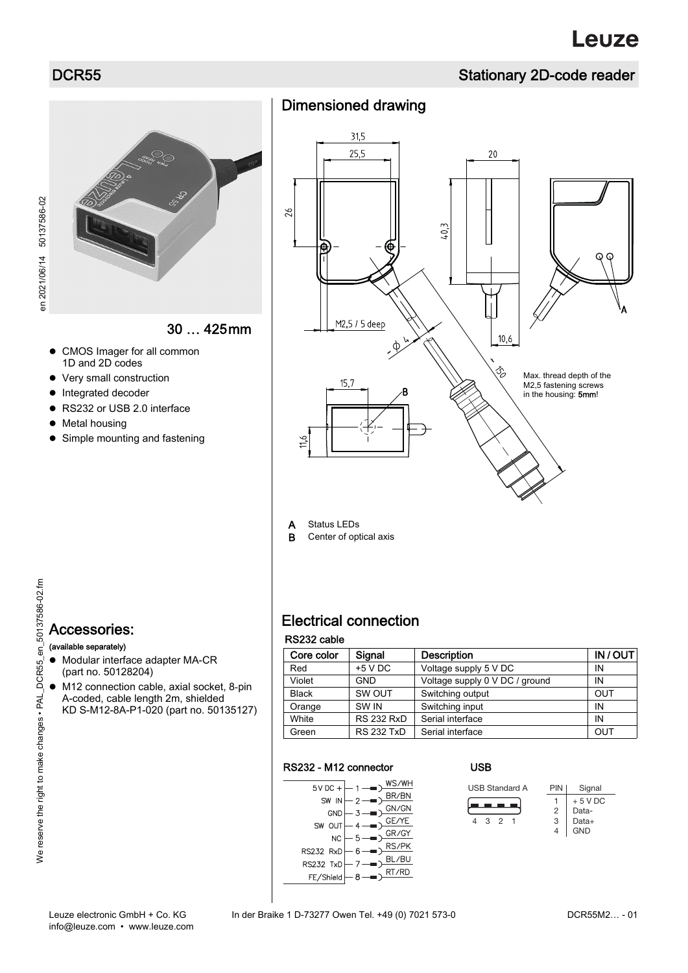# **DCR55** Stationary 2D-code reader

en 2021/06/14 50137586-02

en 2021/06/14 50137586-02

30 … 425mm

- CMOS Imager for all common 1D and 2D codes
- Very small construction
- Integrated decoder
- RS232 or USB 2.0 interface
- Metal housing
- Simple mounting and fastening

# Dimensioned drawing



A Status LEDs<br>B Center of opt Center of optical axis

# 50137586-02.fm Accessories: (available separately)  $\bullet$  Modular interface adapter MA-CR (part no. 50128204)

 M12 connection cable, axial socket, 8-pin A-coded, cable length 2m, shielded KD S-M12-8A-P1-020 (part no. 50135127)

# Electrical connection

### RS232 cable

| Core color   | Signal            | <b>Description</b>             | IN/OUT |
|--------------|-------------------|--------------------------------|--------|
| Red          | $+5$ V DC         | Voltage supply 5 V DC          | ΙN     |
| Violet       | <b>GND</b>        | Voltage supply 0 V DC / ground | IN     |
| <b>Black</b> | SW OUT            | Switching output               | OUT    |
| Orange       | SW <sub>IN</sub>  | Switching input                | IN     |
| White        | <b>RS 232 RxD</b> | Serial interface               | IN     |
| Green        | <b>RS 232 TxD</b> | Serial interface               | OUT    |

#### RS232 - M12 connector

| $5VDC +$         | /Η        |
|------------------|-----------|
|                  |           |
| ${\sf SW}$<br>IN | GN/       |
| <b>GND</b>       |           |
| <b>SW</b>        | GE.<br>E  |
|                  | GR        |
| NC               |           |
| RS232 RxD        | R٤        |
|                  |           |
| <b>RS232 TxD</b> | <b>RD</b> |
| FE/Shield        | RT/       |
|                  |           |

### USB